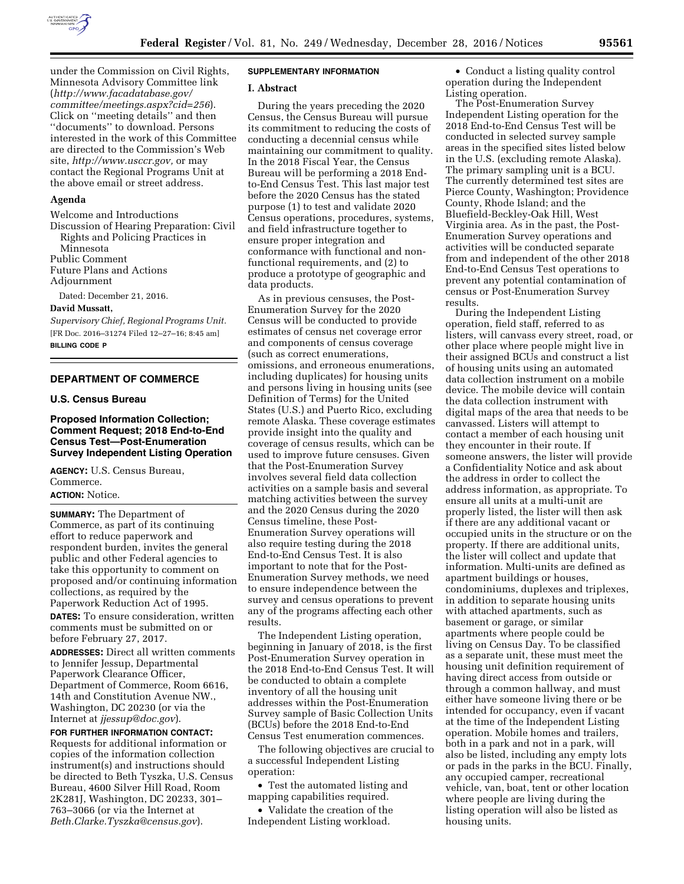

under the Commission on Civil Rights, Minnesota Advisory Committee link (*[http://www.facadatabase.gov/](http://www.facadatabase.gov/committee/meetings.aspx?cid=256) [committee/meetings.aspx?cid=256](http://www.facadatabase.gov/committee/meetings.aspx?cid=256)*). Click on ''meeting details'' and then ''documents'' to download. Persons interested in the work of this Committee are directed to the Commission's Web site, *[http://www.usccr.gov,](http://www.usccr.gov)* or may contact the Regional Programs Unit at the above email or street address.

## **Agenda**

Welcome and Introductions Discussion of Hearing Preparation: Civil Rights and Policing Practices in Minnesota Public Comment Future Plans and Actions Adjournment

Dated: December 21, 2016.

#### **David Mussatt,**

*Supervisory Chief, Regional Programs Unit.*  [FR Doc. 2016–31274 Filed 12–27–16; 8:45 am] **BILLING CODE P** 

# **DEPARTMENT OF COMMERCE**

## **U.S. Census Bureau**

# **Proposed Information Collection; Comment Request; 2018 End-to-End Census Test—Post-Enumeration Survey Independent Listing Operation**

**AGENCY:** U.S. Census Bureau, Commerce. **ACTION:** Notice.

**SUMMARY:** The Department of Commerce, as part of its continuing effort to reduce paperwork and respondent burden, invites the general public and other Federal agencies to take this opportunity to comment on proposed and/or continuing information collections, as required by the Paperwork Reduction Act of 1995.

**DATES:** To ensure consideration, written comments must be submitted on or before February 27, 2017.

**ADDRESSES:** Direct all written comments to Jennifer Jessup, Departmental Paperwork Clearance Officer, Department of Commerce, Room 6616, 14th and Constitution Avenue NW., Washington, DC 20230 (or via the Internet at *[jjessup@doc.gov](mailto:jjessup@doc.gov)*).

**FOR FURTHER INFORMATION CONTACT:**  Requests for additional information or copies of the information collection instrument(s) and instructions should be directed to Beth Tyszka, U.S. Census Bureau, 4600 Silver Hill Road, Room 2K281J, Washington, DC 20233, 301– 763–3066 (or via the Internet at *[Beth.Clarke.Tyszka@census.gov](mailto:Beth.Clarke.Tyszka@census.gov)*).

# **SUPPLEMENTARY INFORMATION**

### **I. Abstract**

During the years preceding the 2020 Census, the Census Bureau will pursue its commitment to reducing the costs of conducting a decennial census while maintaining our commitment to quality. In the 2018 Fiscal Year, the Census Bureau will be performing a 2018 Endto-End Census Test. This last major test before the 2020 Census has the stated purpose (1) to test and validate 2020 Census operations, procedures, systems, and field infrastructure together to ensure proper integration and conformance with functional and nonfunctional requirements, and (2) to produce a prototype of geographic and data products.

As in previous censuses, the Post-Enumeration Survey for the 2020 Census will be conducted to provide estimates of census net coverage error and components of census coverage (such as correct enumerations, omissions, and erroneous enumerations, including duplicates) for housing units and persons living in housing units (see Definition of Terms) for the United States (U.S.) and Puerto Rico, excluding remote Alaska. These coverage estimates provide insight into the quality and coverage of census results, which can be used to improve future censuses. Given that the Post-Enumeration Survey involves several field data collection activities on a sample basis and several matching activities between the survey and the 2020 Census during the 2020 Census timeline, these Post-Enumeration Survey operations will also require testing during the 2018 End-to-End Census Test. It is also important to note that for the Post-Enumeration Survey methods, we need to ensure independence between the survey and census operations to prevent any of the programs affecting each other results.

The Independent Listing operation, beginning in January of 2018, is the first Post-Enumeration Survey operation in the 2018 End-to-End Census Test. It will be conducted to obtain a complete inventory of all the housing unit addresses within the Post-Enumeration Survey sample of Basic Collection Units (BCUs) before the 2018 End-to-End Census Test enumeration commences.

The following objectives are crucial to a successful Independent Listing operation:

• Test the automated listing and mapping capabilities required.

• Validate the creation of the Independent Listing workload.

• Conduct a listing quality control operation during the Independent Listing operation.

The Post-Enumeration Survey Independent Listing operation for the 2018 End-to-End Census Test will be conducted in selected survey sample areas in the specified sites listed below in the U.S. (excluding remote Alaska). The primary sampling unit is a BCU. The currently determined test sites are Pierce County, Washington; Providence County, Rhode Island; and the Bluefield-Beckley-Oak Hill, West Virginia area. As in the past, the Post-Enumeration Survey operations and activities will be conducted separate from and independent of the other 2018 End-to-End Census Test operations to prevent any potential contamination of census or Post-Enumeration Survey results.

During the Independent Listing operation, field staff, referred to as listers, will canvass every street, road, or other place where people might live in their assigned BCUs and construct a list of housing units using an automated data collection instrument on a mobile device. The mobile device will contain the data collection instrument with digital maps of the area that needs to be canvassed. Listers will attempt to contact a member of each housing unit they encounter in their route. If someone answers, the lister will provide a Confidentiality Notice and ask about the address in order to collect the address information, as appropriate. To ensure all units at a multi-unit are properly listed, the lister will then ask if there are any additional vacant or occupied units in the structure or on the property. If there are additional units, the lister will collect and update that information. Multi-units are defined as apartment buildings or houses, condominiums, duplexes and triplexes, in addition to separate housing units with attached apartments, such as basement or garage, or similar apartments where people could be living on Census Day. To be classified as a separate unit, these must meet the housing unit definition requirement of having direct access from outside or through a common hallway, and must either have someone living there or be intended for occupancy, even if vacant at the time of the Independent Listing operation. Mobile homes and trailers, both in a park and not in a park, will also be listed, including any empty lots or pads in the parks in the BCU. Finally, any occupied camper, recreational vehicle, van, boat, tent or other location where people are living during the listing operation will also be listed as housing units.